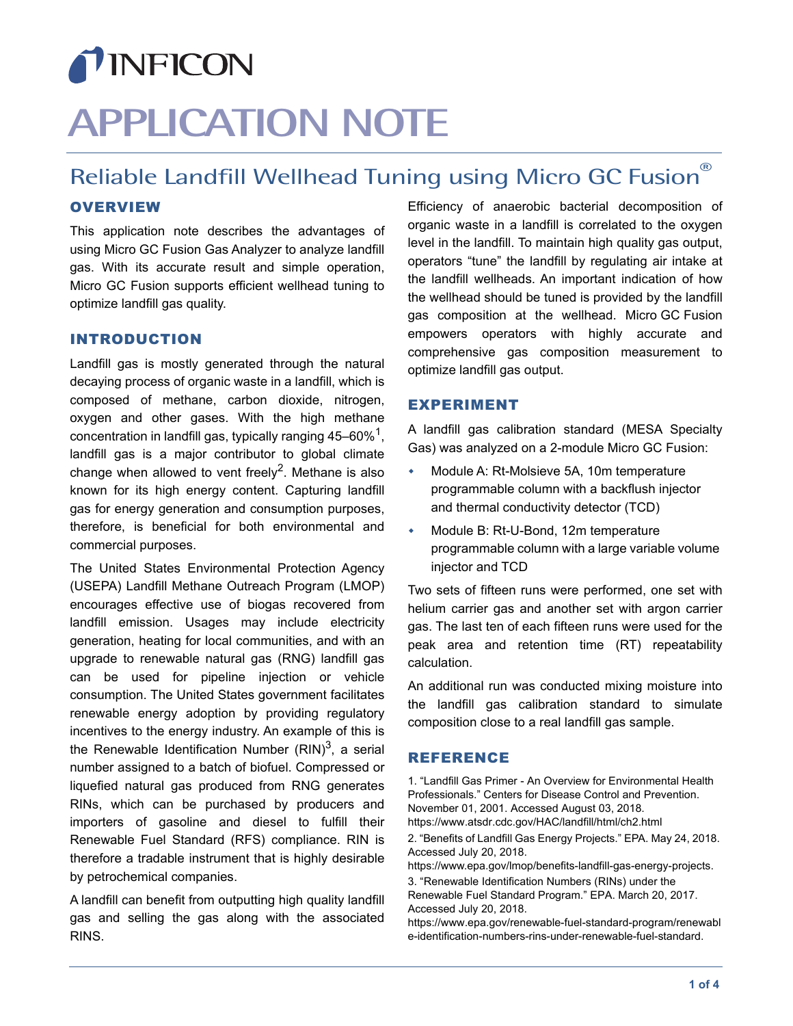# TINFICON **APPLICATION NOTE**

# <span id="page-0-0"></span>Reliable Landfill Wellhead Tuning using Micro GC Fusion

# **OVERVIEW**

This application note describes the advantages of using Micro GC Fusion Gas Analyzer to analyze landfill gas. With its accurate result and simple operation, Micro GC Fusion supports efficient wellhead tuning to optimize landfill gas quality.

#### INTRODUCTION

Landfill gas is mostly generated through the natural decaying process of organic waste in a landfill, which is composed of methane, carbon dioxide, nitrogen, oxygen and other gases. With the high methane concentration in landfill gas, typically ranging  $45-60\%$ <sup>1</sup>, landfill gas is a major contributor to global climate change when allowed to vent freely<sup>2</sup>. Methane is also known for its high energy content. Capturing landfill gas for energy generation and consumption purposes, therefore, is beneficial for both environmental and commercial purposes.

The United States Environmental Protection Agency (USEPA) Landfill Methane Outreach Program (LMOP) encourages effective use of biogas recovered from landfill emission. Usages may include electricity generation, heating for local communities, and with an upgrade to renewable natural gas (RNG) landfill gas can be used for pipeline injection or vehicle consumption. The United States government facilitates renewable energy adoption by providing regulatory incentives to the energy industry. An example of this is the Renewable Identification Number  $(RIN)^3$ , a serial number assigned to a batch of biofuel. Compressed or liquefied natural gas produced from RNG generates RINs, which can be purchased by producers and importers of gasoline and diesel to fulfill their Renewable Fuel Standard (RFS) compliance. RIN is therefore a tradable instrument that is highly desirable by petrochemical companies.

A landfill can benefit from outputting high quality landfill gas and selling the gas along with the associated RINS.

Efficiency of anaerobic bacterial decomposition of organic waste in a landfill is correlated to the oxygen level in the landfill. To maintain high quality gas output, operators "tune" the landfill by regulating air intake at the landfill wellheads. An important indication of how the wellhead should be tuned is provided by the landfill gas composition at the wellhead. Micro GC Fusion empowers operators with highly accurate and comprehensive gas composition measurement to optimize landfill gas output.

#### EXPERIMENT

A landfill gas calibration standard (MESA Specialty Gas) was analyzed on a 2-module Micro GC Fusion:

- Module A: Rt-Molsieve 5A, 10m temperature programmable column with a backflush injector and thermal conductivity detector (TCD)
- Module B: Rt-U-Bond, 12m temperature programmable column with a large variable volume injector and TCD

Two sets of fifteen runs were performed, one set with helium carrier gas and another set with argon carrier gas. The last ten of each fifteen runs were used for the peak area and retention time (RT) repeatability calculation.

An additional run was conducted mixing moisture into the landfill gas calibration standard to simulate composition close to a real landfill gas sample.

## REFERENCE

1. "Landfill Gas Primer - An Overview for Environmental Health Professionals." Centers for Disease Control and Prevention. November 01, 2001. Accessed August 03, 2018. https://www.atsdr.cdc.gov/HAC/landfill/html/ch2.html 2. "Benefits of Landfill Gas Energy Projects." EPA. May 24, 2018. Accessed July 20, 2018. https://www.epa.gov/lmop/benefits-landfill-gas-energy-projects. 3. "Renewable Identification Numbers (RINs) under the Renewable Fuel Standard Program." EPA. March 20, 2017.

Accessed July 20, 2018. https://www.epa.gov/renewable-fuel-standard-program/renewabl

e-identification-numbers-rins-under-renewable-fuel-standard.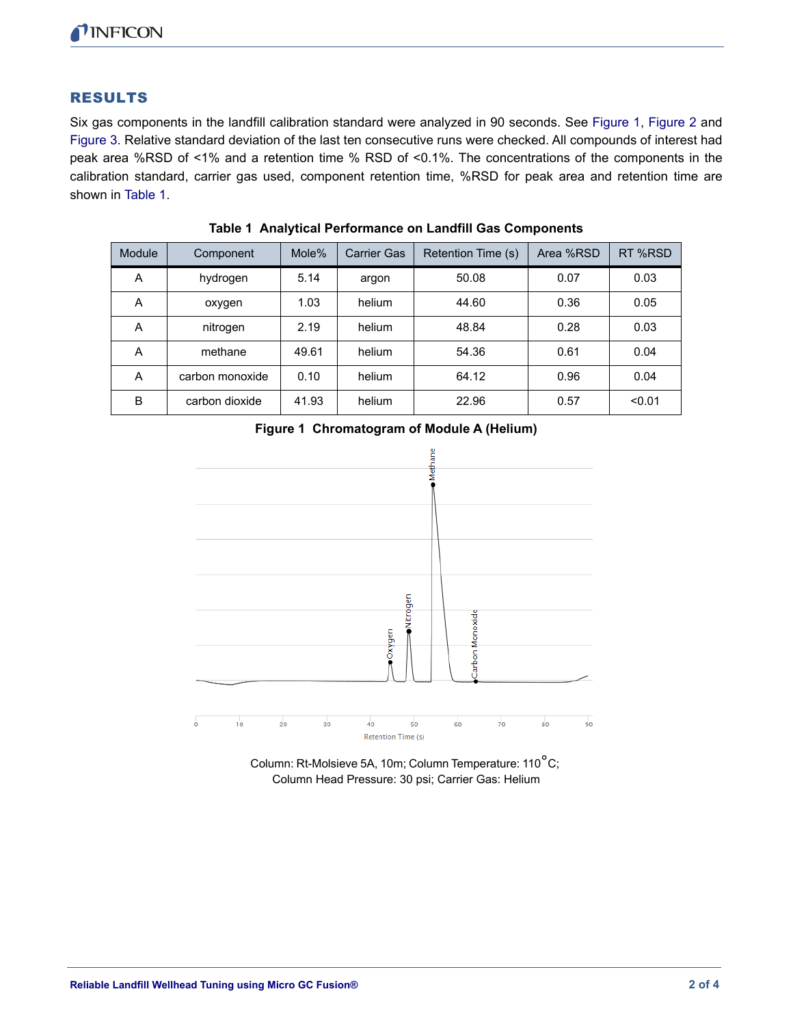### RESULTS

Six gas components in the landfill calibration standard were analyzed in 90 seconds. See [Figure 1,](#page-1-1) [Figure 2](#page-2-0) and [Figure 3.](#page-2-1) Relative standard deviation of the last ten consecutive runs were checked. All compounds of interest had peak area %RSD of <1% and a retention time % RSD of <0.1%. The concentrations of the components in the calibration standard, carrier gas used, component retention time, %RSD for peak area and retention time are shown in [Table 1](#page-1-0).

<span id="page-1-0"></span>

| <b>Module</b> | Component       | Mole% | <b>Carrier Gas</b> | Retention Time (s) | Area %RSD | RT %RSD |
|---------------|-----------------|-------|--------------------|--------------------|-----------|---------|
| A             | hydrogen        | 5.14  | argon              | 50.08              | 0.07      | 0.03    |
| A             | oxygen          | 1.03  | helium             | 44.60              | 0.36      | 0.05    |
| A             | nitrogen        | 2.19  | helium             | 48.84              | 0.28      | 0.03    |
| A             | methane         | 49.61 | helium             | 54.36              | 0.61      | 0.04    |
| A             | carbon monoxide | 0.10  | helium             | 64.12              | 0.96      | 0.04    |
| B             | carbon dioxide  | 41.93 | helium             | 22.96              | 0.57      | < 0.01  |

**Table 1 Analytical Performance on Landfill Gas Components**

<span id="page-1-1"></span>



Column: Rt-Molsieve 5A, 10m; Column Temperature: 110°C; Column Head Pressure: 30 psi; Carrier Gas: Helium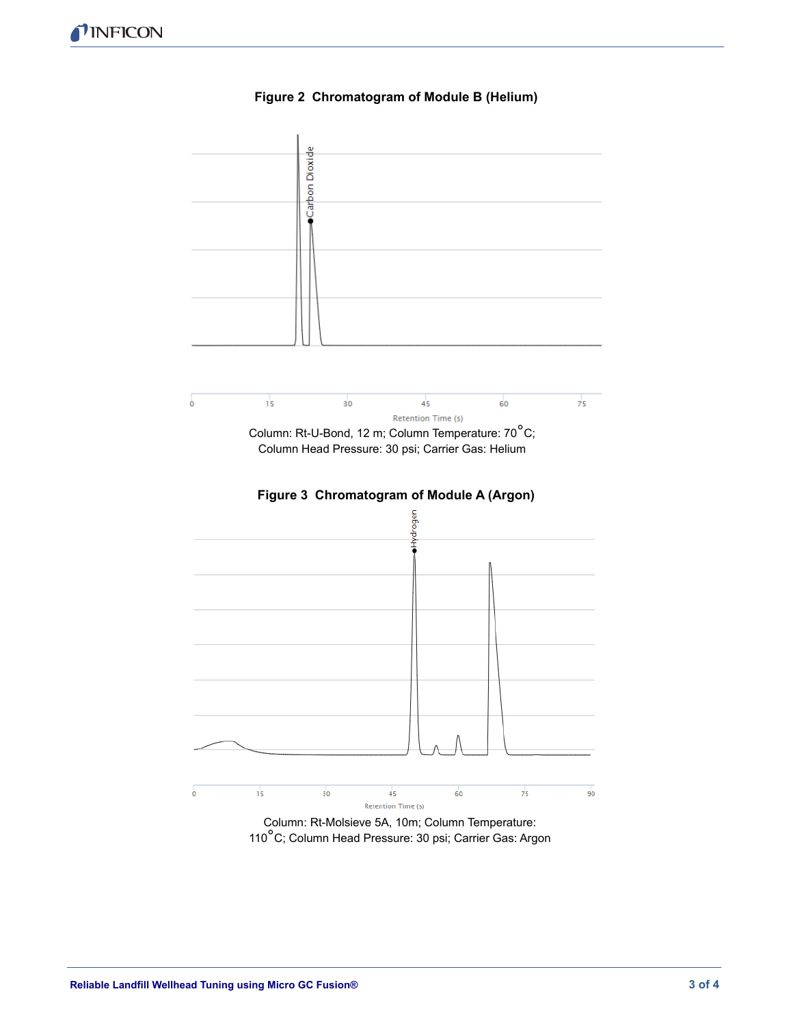<span id="page-2-1"></span><span id="page-2-0"></span>

#### **Figure 2 Chromatogram of Module B (Helium)**

110°C; Column Head Pressure: 30 psi; Carrier Gas: Argon